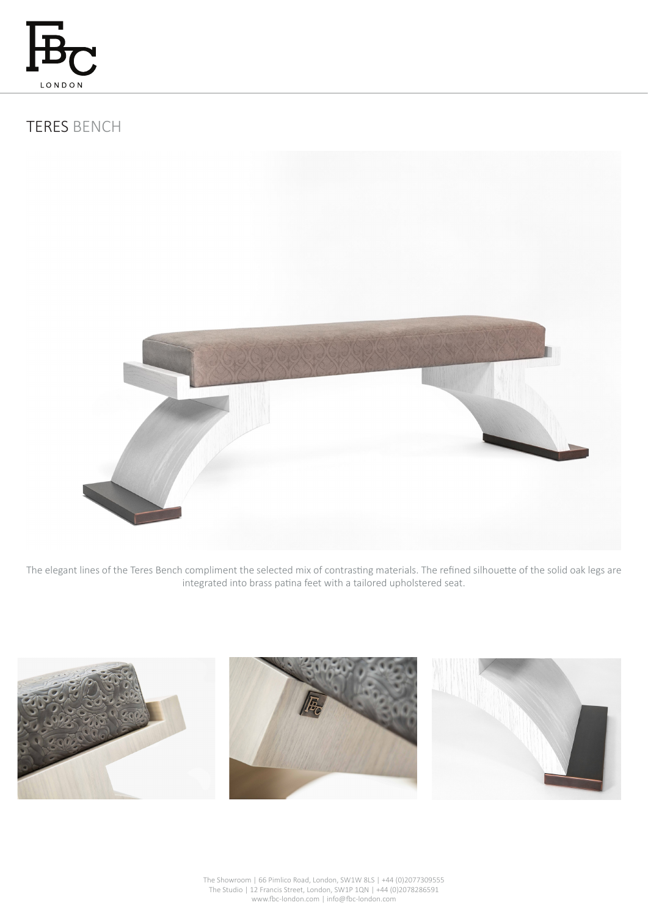

# TERES BENCH



The elegant lines of the Teres Bench compliment the selected mix of contrasting materials. The refined silhouette of the solid oak legs are integrated into brass patina feet with a tailored upholstered seat.